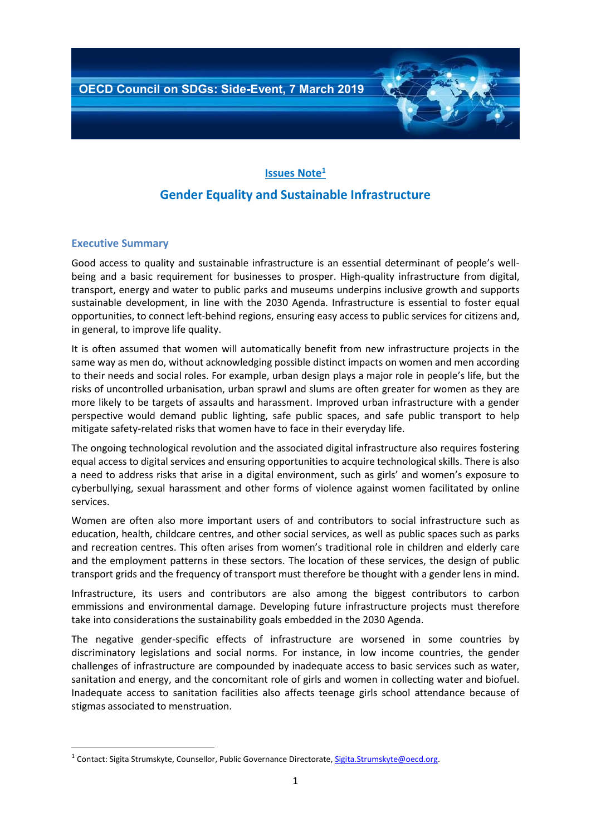# **Issues Note<sup>1</sup> Gender Equality and Sustainable Infrastructure**

## **Executive Summary**

**.** 

Good access to quality and sustainable infrastructure is an essential determinant of people's wellbeing and a basic requirement for businesses to prosper. High-quality infrastructure from digital, transport, energy and water to public parks and museums underpins inclusive growth and supports sustainable development, in line with the 2030 Agenda. Infrastructure is essential to foster equal opportunities, to connect left-behind regions, ensuring easy access to public services for citizens and, in general, to improve life quality.

It is often assumed that women will automatically benefit from new infrastructure projects in the same way as men do, without acknowledging possible distinct impacts on women and men according to their needs and social roles. For example, urban design plays a major role in people's life, but the risks of uncontrolled urbanisation, urban sprawl and slums are often greater for women as they are more likely to be targets of assaults and harassment. Improved urban infrastructure with a gender perspective would demand public lighting, safe public spaces, and safe public transport to help mitigate safety-related risks that women have to face in their everyday life.

The ongoing technological revolution and the associated digital infrastructure also requires fostering equal access to digital services and ensuring opportunities to acquire technological skills. There is also a need to address risks that arise in a digital environment, such as girls' and women's exposure to cyberbullying, sexual harassment and other forms of violence against women facilitated by online services.

Women are often also more important users of and contributors to social infrastructure such as education, health, childcare centres, and other social services, as well as public spaces such as parks and recreation centres. This often arises from women's traditional role in children and elderly care and the employment patterns in these sectors. The location of these services, the design of public transport grids and the frequency of transport must therefore be thought with a gender lens in mind.

Infrastructure, its users and contributors are also among the biggest contributors to carbon emmissions and environmental damage. Developing future infrastructure projects must therefore take into considerations the sustainability goals embedded in the 2030 Agenda.

The negative gender-specific effects of infrastructure are worsened in some countries by discriminatory legislations and social norms. For instance, in low income countries, the gender challenges of infrastructure are compounded by inadequate access to basic services such as water, sanitation and energy, and the concomitant role of girls and women in collecting water and biofuel. Inadequate access to sanitation facilities also affects teenage girls school attendance because of stigmas associated to menstruation.

<sup>&</sup>lt;sup>1</sup> Contact: Sigita Strumskyte, Counsellor, Public Governance Directorate[, Sigita.Strumskyte@oecd.org.](mailto:Sigita.Strumskyte@oecd.org)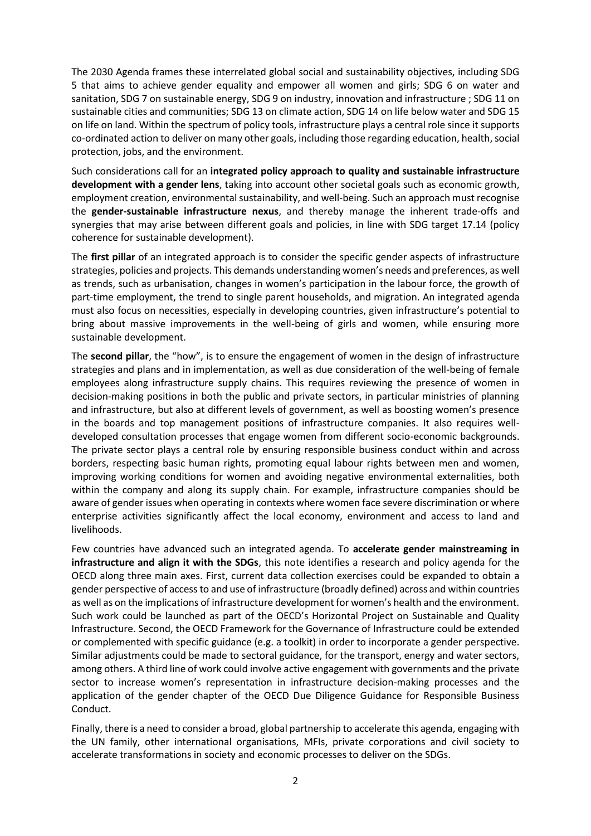The 2030 Agenda frames these interrelated global social and sustainability objectives, including SDG 5 that aims to achieve gender equality and empower all women and girls; SDG 6 on water and sanitation, SDG 7 on sustainable energy, SDG 9 on industry, innovation and infrastructure ; SDG 11 on sustainable cities and communities; SDG 13 on climate action, SDG 14 on life below water and SDG 15 on life on land. Within the spectrum of policy tools, infrastructure plays a central role since it supports co-ordinated action to deliver on many other goals, including those regarding education, health, social protection, jobs, and the environment.

Such considerations call for an **integrated policy approach to quality and sustainable infrastructure development with a gender lens**, taking into account other societal goals such as economic growth, employment creation, environmental sustainability, and well-being. Such an approach must recognise the **gender-sustainable infrastructure nexus**, and thereby manage the inherent trade-offs and synergies that may arise between different goals and policies, in line with SDG target 17.14 (policy coherence for sustainable development).

The **first pillar** of an integrated approach is to consider the specific gender aspects of infrastructure strategies, policies and projects. This demands understanding women's needs and preferences, as well as trends, such as urbanisation, changes in women's participation in the labour force, the growth of part-time employment, the trend to single parent households, and migration. An integrated agenda must also focus on necessities, especially in developing countries, given infrastructure's potential to bring about massive improvements in the well-being of girls and women, while ensuring more sustainable development.

The **second pillar**, the "how", is to ensure the engagement of women in the design of infrastructure strategies and plans and in implementation, as well as due consideration of the well-being of female employees along infrastructure supply chains. This requires reviewing the presence of women in decision-making positions in both the public and private sectors, in particular ministries of planning and infrastructure, but also at different levels of government, as well as boosting women's presence in the boards and top management positions of infrastructure companies. It also requires welldeveloped consultation processes that engage women from different socio-economic backgrounds. The private sector plays a central role by ensuring responsible business conduct within and across borders, respecting basic human rights, promoting equal labour rights between men and women, improving working conditions for women and avoiding negative environmental externalities, both within the company and along its supply chain. For example, infrastructure companies should be aware of gender issues when operating in contexts where women face severe discrimination or where enterprise activities significantly affect the local economy, environment and access to land and livelihoods.

Few countries have advanced such an integrated agenda. To **accelerate gender mainstreaming in infrastructure and align it with the SDGs**, this note identifies a research and policy agenda for the OECD along three main axes. First, current data collection exercises could be expanded to obtain a gender perspective of access to and use of infrastructure (broadly defined) across and within countries as well as on the implications of infrastructure development for women's health and the environment. Such work could be launched as part of the OECD's Horizontal Project on Sustainable and Quality Infrastructure. Second, the OECD Framework for the Governance of Infrastructure could be extended or complemented with specific guidance (e.g. a toolkit) in order to incorporate a gender perspective. Similar adjustments could be made to sectoral guidance, for the transport, energy and water sectors, among others. A third line of work could involve active engagement with governments and the private sector to increase women's representation in infrastructure decision-making processes and the application of the gender chapter of the OECD Due Diligence Guidance for Responsible Business Conduct.

Finally, there is a need to consider a broad, global partnership to accelerate this agenda, engaging with the UN family, other international organisations, MFIs, private corporations and civil society to accelerate transformations in society and economic processes to deliver on the SDGs.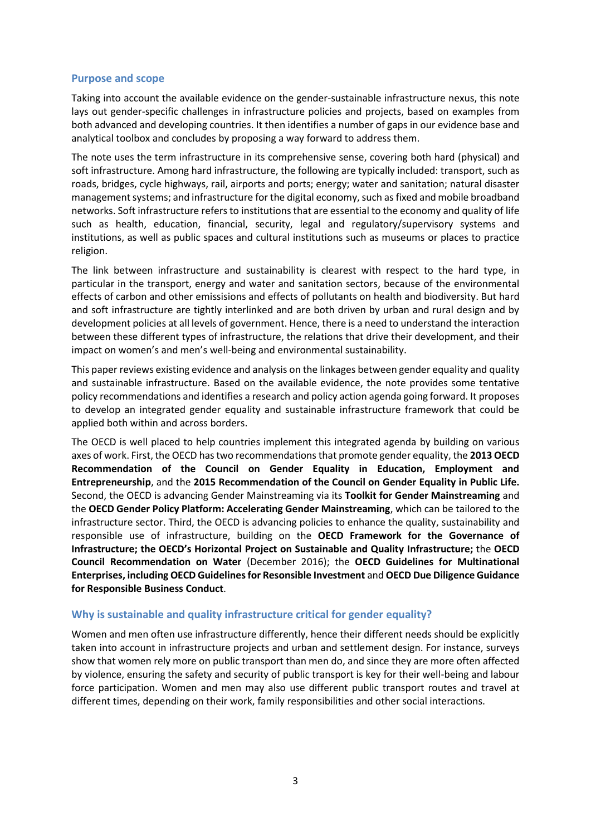#### **Purpose and scope**

Taking into account the available evidence on the gender-sustainable infrastructure nexus, this note lays out gender-specific challenges in infrastructure policies and projects, based on examples from both advanced and developing countries. It then identifies a number of gaps in our evidence base and analytical toolbox and concludes by proposing a way forward to address them.

The note uses the term infrastructure in its comprehensive sense, covering both hard (physical) and soft infrastructure. Among hard infrastructure, the following are typically included: transport, such as roads, bridges, cycle highways, rail, airports and ports; energy; water and sanitation; natural disaster management systems; and infrastructure for the digital economy, such as fixed and mobile broadband networks. Soft infrastructure refers to institutions that are essential to the economy and quality of life such as health, education, financial, security, legal and regulatory/supervisory systems and institutions, as well as public spaces and cultural institutions such as museums or places to practice religion.

The link between infrastructure and sustainability is clearest with respect to the hard type, in particular in the transport, energy and water and sanitation sectors, because of the environmental effects of carbon and other emissisions and effects of pollutants on health and biodiversity. But hard and soft infrastructure are tightly interlinked and are both driven by urban and rural design and by development policies at all levels of government. Hence, there is a need to understand the interaction between these different types of infrastructure, the relations that drive their development, and their impact on women's and men's well-being and environmental sustainability.

This paper reviews existing evidence and analysis on the linkages between gender equality and quality and sustainable infrastructure. Based on the available evidence, the note provides some tentative policy recommendations and identifies a research and policy action agenda going forward. It proposes to develop an integrated gender equality and sustainable infrastructure framework that could be applied both within and across borders.

The OECD is well placed to help countries implement this integrated agenda by building on various axes of work. First, the OECD has two recommendations that promote gender equality, the **2013 OECD Recommendation of the Council on Gender Equality in Education, Employment and Entrepreneurship**, and the **2015 Recommendation of the Council on Gender Equality in Public Life.**  Second, the OECD is advancing Gender Mainstreaming via its **Toolkit for Gender Mainstreaming** and the **OECD Gender Policy Platform: Accelerating Gender Mainstreaming**, which can be tailored to the infrastructure sector. Third, the OECD is advancing policies to enhance the quality, sustainability and responsible use of infrastructure, building on the **OECD Framework for the Governance of Infrastructure; the OECD's Horizontal Project on Sustainable and Quality Infrastructure;** the **OECD Council Recommendation on Water** (December 2016); the **OECD Guidelines for Multinational Enterprises, including OECD Guidelines for Resonsible Investment** and **OECD Due Diligence Guidance for Responsible Business Conduct**.

## **Why is sustainable and quality infrastructure critical for gender equality?**

Women and men often use infrastructure differently, hence their different needs should be explicitly taken into account in infrastructure projects and urban and settlement design. For instance, surveys show that women rely more on public transport than men do, and since they are more often affected by violence, ensuring the safety and security of public transport is key for their well-being and labour force participation. Women and men may also use different public transport routes and travel at different times, depending on their work, family responsibilities and other social interactions.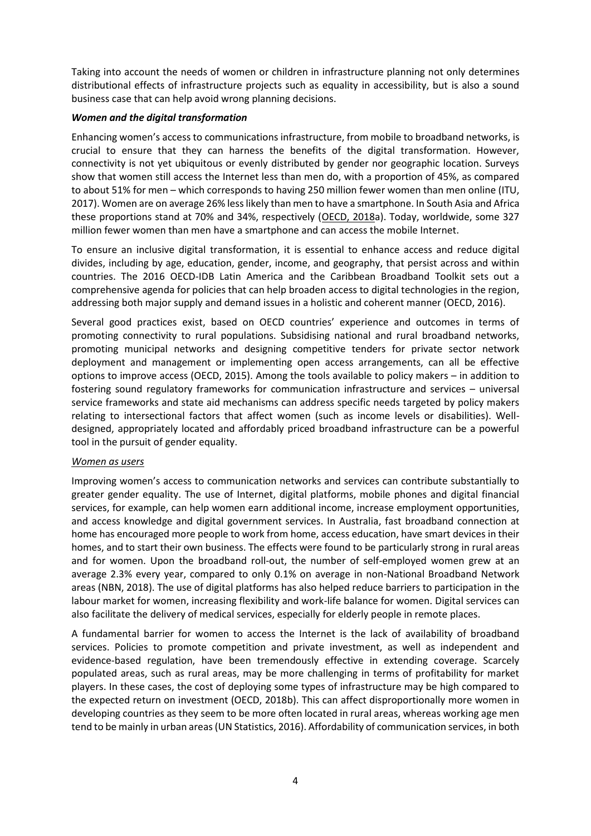Taking into account the needs of women or children in infrastructure planning not only determines distributional effects of infrastructure projects such as equality in accessibility, but is also a sound business case that can help avoid wrong planning decisions.

## *Women and the digital transformation*

Enhancing women's access to communications infrastructure, from mobile to broadband networks, is crucial to ensure that they can harness the benefits of the digital transformation. However, connectivity is not yet ubiquitous or evenly distributed by gender nor geographic location. Surveys show that women still access the Internet less than men do, with a proportion of 45%, as compared to about 51% for men – which corresponds to having 250 million fewer women than men online (ITU, 2017). Women are on average 26% less likely than men to have a smartphone. In South Asia and Africa these proportions stand at 70% and 34%, respectively [\(OECD, 2018a](http://www.oecd.org/internet/bridging-the-digital-gender-divide.pdf)). Today, worldwide, some 327 million fewer women than men have a smartphone and can access the mobile Internet.

To ensure an inclusive digital transformation, it is essential to enhance access and reduce digital divides, including by age, education, gender, income, and geography, that persist across and within countries. The 2016 OECD-IDB Latin America and the Caribbean Broadband Toolkit sets out a comprehensive agenda for policies that can help broaden access to digital technologies in the region, addressing both major supply and demand issues in a holistic and coherent manner (OECD, 2016).

Several good practices exist, based on OECD countries' experience and outcomes in terms of promoting connectivity to rural populations. Subsidising national and rural broadband networks, promoting municipal networks and designing competitive tenders for private sector network deployment and management or implementing open access arrangements, can all be effective options to improve access (OECD, 2015). Among the tools available to policy makers – in addition to fostering sound regulatory frameworks for communication infrastructure and services – universal service frameworks and state aid mechanisms can address specific needs targeted by policy makers relating to intersectional factors that affect women (such as income levels or disabilities). Welldesigned, appropriately located and affordably priced broadband infrastructure can be a powerful tool in the pursuit of gender equality.

#### *Women as users*

Improving women's access to communication networks and services can contribute substantially to greater gender equality. The use of Internet, digital platforms, mobile phones and digital financial services, for example, can help women earn additional income, increase employment opportunities, and access knowledge and digital government services. In Australia, fast broadband connection at home has encouraged more people to work from home, access education, have smart devices in their homes, and to start their own business. The effects were found to be particularly strong in rural areas and for women. Upon the broadband roll-out, the number of self-employed women grew at an average 2.3% every year, compared to only 0.1% on average in non-National Broadband Network areas (NBN, 2018). The use of digital platforms has also helped reduce barriers to participation in the labour market for women, increasing flexibility and work-life balance for women. Digital services can also facilitate the delivery of medical services, especially for elderly people in remote places.

A fundamental barrier for women to access the Internet is the lack of availability of broadband services. Policies to promote competition and private investment, as well as independent and evidence-based regulation, have been tremendously effective in extending coverage. Scarcely populated areas, such as rural areas, may be more challenging in terms of profitability for market players. In these cases, the cost of deploying some types of infrastructure may be high compared to the expected return on investment (OECD, 2018b). This can affect disproportionally more women in developing countries as they seem to be more often located in rural areas, whereas working age men tend to be mainly in urban areas (UN Statistics, 2016). Affordability of communication services, in both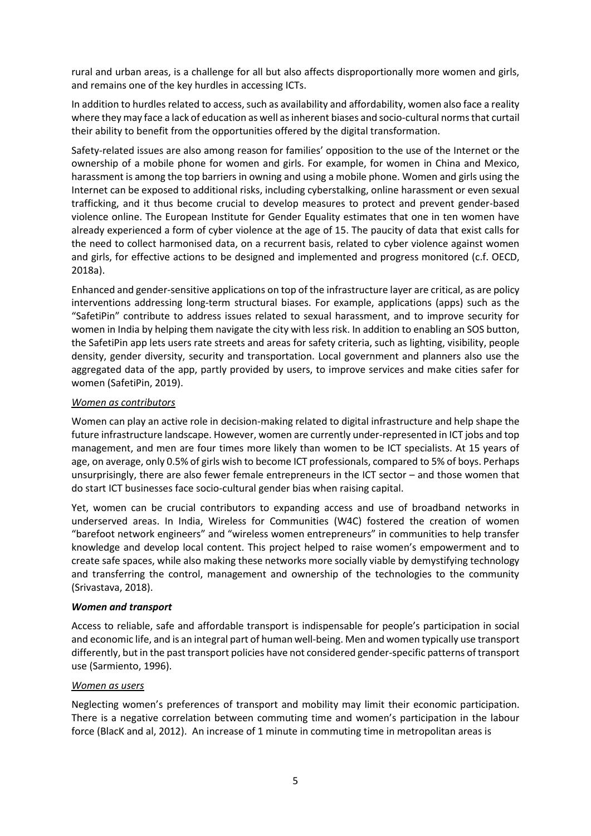rural and urban areas, is a challenge for all but also affects disproportionally more women and girls, and remains one of the key hurdles in accessing ICTs.

In addition to hurdles related to access, such as availability and affordability, women also face a reality where they may face a lack of education as well as inherent biases and socio-cultural norms that curtail their ability to benefit from the opportunities offered by the digital transformation.

Safety-related issues are also among reason for families' opposition to the use of the Internet or the ownership of a mobile phone for women and girls. For example, for women in China and Mexico, harassment is among the top barriers in owning and using a mobile phone. Women and girls using the Internet can be exposed to additional risks, including cyberstalking, online harassment or even sexual trafficking, and it thus become crucial to develop measures to protect and prevent gender-based violence online. The European Institute for Gender Equality estimates that one in ten women have already experienced a form of cyber violence at the age of 15. The paucity of data that exist calls for the need to collect harmonised data, on a recurrent basis, related to cyber violence against women and girls, for effective actions to be designed and implemented and progress monitored (c.f. OECD, 2018a).

Enhanced and gender-sensitive applications on top of the infrastructure layer are critical, as are policy interventions addressing long-term structural biases. For example, applications (apps) such as the "SafetiPin" contribute to address issues related to sexual harassment, and to improve security for women in India by helping them navigate the city with less risk. In addition to enabling an SOS button, the SafetiPin app lets users rate streets and areas for safety criteria, such as lighting, visibility, people density, gender diversity, security and transportation. Local government and planners also use the aggregated data of the app, partly provided by users, to improve services and make cities safer for women (SafetiPin, 2019).

## *Women as contributors*

Women can play an active role in decision-making related to digital infrastructure and help shape the future infrastructure landscape. However, women are currently under-represented in ICT jobs and top management, and men are four times more likely than women to be ICT specialists. At 15 years of age, on average, only 0.5% of girls wish to become ICT professionals, compared to 5% of boys. Perhaps unsurprisingly, there are also fewer female entrepreneurs in the ICT sector – and those women that do start ICT businesses face socio-cultural gender bias when raising capital.

Yet, women can be crucial contributors to expanding access and use of broadband networks in underserved areas. In India, Wireless for Communities (W4C) fostered the creation of women "barefoot network engineers" and "wireless women entrepreneurs" in communities to help transfer knowledge and develop local content. This project helped to raise women's empowerment and to create safe spaces, while also making these networks more socially viable by demystifying technology and transferring the control, management and ownership of the technologies to the community (Srivastava, 2018).

#### *Women and transport*

Access to reliable, safe and affordable transport is indispensable for people's participation in social and economic life, and is an integral part of human well-being. Men and women typically use transport differently, but in the past transport policies have not considered gender-specific patterns of transport use (Sarmiento, 1996).

#### *Women as users*

Neglecting women's preferences of transport and mobility may limit their economic participation. There is a negative correlation between commuting time and women's participation in the labour force (BlacK and al, 2012). An increase of 1 minute in commuting time in metropolitan areas is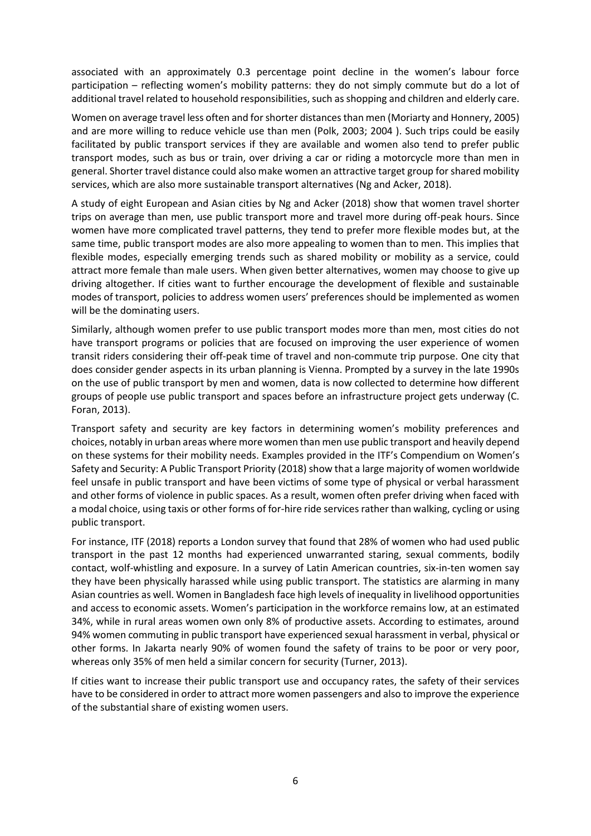associated with an approximately 0.3 percentage point decline in the women's labour force participation – reflecting women's mobility patterns: they do not simply commute but do a lot of additional travel related to household responsibilities, such as shopping and children and elderly care.

Women on average travel less often and for shorter distances than men (Moriarty and Honnery, 2005) and are more willing to reduce vehicle use than men (Polk, 2003; 2004 ). Such trips could be easily facilitated by public transport services if they are available and women also tend to prefer public transport modes, such as bus or train, over driving a car or riding a motorcycle more than men in general. Shorter travel distance could also make women an attractive target group for shared mobility services, which are also more sustainable transport alternatives (Ng and Acker, 2018).

A study of eight European and Asian cities by Ng and Acker (2018) show that women travel shorter trips on average than men, use public transport more and travel more during off-peak hours. Since women have more complicated travel patterns, they tend to prefer more flexible modes but, at the same time, public transport modes are also more appealing to women than to men. This implies that flexible modes, especially emerging trends such as shared mobility or mobility as a service, could attract more female than male users. When given better alternatives, women may choose to give up driving altogether. If cities want to further encourage the development of flexible and sustainable modes of transport, policies to address women users' preferences should be implemented as women will be the dominating users.

Similarly, although women prefer to use public transport modes more than men, most cities do not have transport programs or policies that are focused on improving the user experience of women transit riders considering their off-peak time of travel and non-commute trip purpose. One city that does consider gender aspects in its urban planning is Vienna. Prompted by a survey in the late 1990s on the use of public transport by men and women, data is now collected to determine how different groups of people use public transport and spaces before an infrastructure project gets underway (C. Foran, 2013).

Transport safety and security are key factors in determining women's mobility preferences and choices, notably in urban areas where more women than men use public transport and heavily depend on these systems for their mobility needs. Examples provided in the ITF's Compendium on Women's Safety and Security: A Public Transport Priority (2018) show that a large majority of women worldwide feel unsafe in public transport and have been victims of some type of physical or verbal harassment and other forms of violence in public spaces. As a result, women often prefer driving when faced with a modal choice, using taxis or other forms of for-hire ride services rather than walking, cycling or using public transport.

For instance, ITF (2018) reports a London survey that found that 28% of women who had used public transport in the past 12 months had experienced unwarranted staring, sexual comments, bodily contact, wolf-whistling and exposure. In a survey of Latin American countries, six-in-ten women say they have been physically harassed while using public transport. The statistics are alarming in many Asian countries as well. Women in Bangladesh face high levels of inequality in livelihood opportunities and access to economic assets. Women's participation in the workforce remains low, at an estimated 34%, while in rural areas women own only 8% of productive assets. According to estimates, around 94% women commuting in public transport have experienced sexual harassment in verbal, physical or other forms. In Jakarta nearly 90% of women found the safety of trains to be poor or very poor, whereas only 35% of men held a similar concern for security (Turner, 2013).

If cities want to increase their public transport use and occupancy rates, the safety of their services have to be considered in order to attract more women passengers and also to improve the experience of the substantial share of existing women users.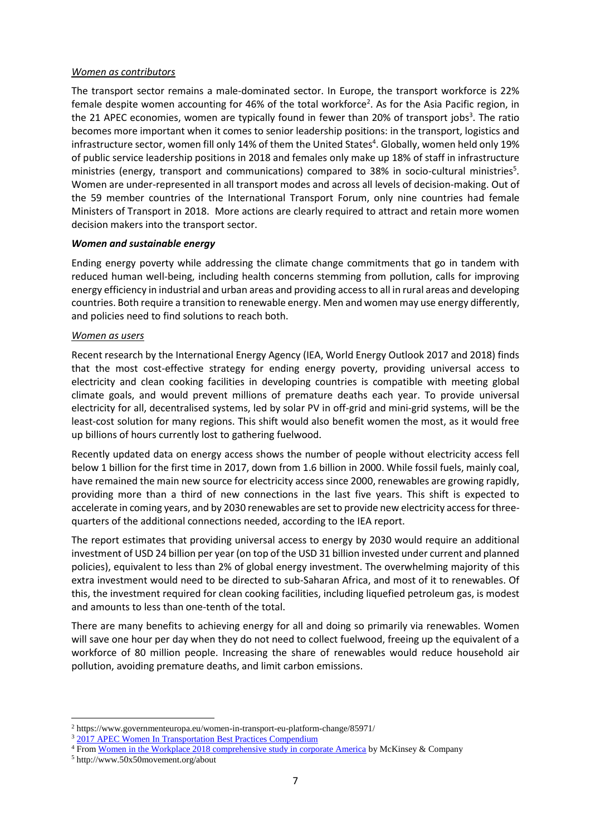The transport sector remains a male-dominated sector. In Europe, the transport workforce is 22% female despite women accounting for 46% of the total workforce<sup>2</sup>. As for the Asia Pacific region, in the 21 APEC economies, women are typically found in fewer than 20% of transport jobs<sup>3</sup>. The ratio becomes more important when it comes to senior leadership positions: in the transport, logistics and infrastructure sector, women fill only 14% of them the United States<sup>4</sup>. Globally, women held only 19% of public service leadership positions in 2018 and females only make up 18% of staff in infrastructure ministries (energy, transport and communications) compared to 38% in socio-cultural ministries<sup>5</sup>. Women are under-represented in all transport modes and across all levels of decision-making. Out of the 59 member countries of the International Transport Forum, only nine countries had female Ministers of Transport in 2018. More actions are clearly required to attract and retain more women decision makers into the transport sector.

#### *Women and sustainable energy*

Ending energy poverty while addressing the climate change commitments that go in tandem with reduced human well-being, including health concerns stemming from pollution, calls for improving energy efficiency in industrial and urban areas and providing access to all in rural areas and developing countries. Both require a transition to renewable energy. Men and women may use energy differently, and policies need to find solutions to reach both.

#### *Women as users*

Recent research by the International Energy Agency (IEA, World Energy Outlook 2017 and 2018) finds that the most cost-effective strategy for ending energy poverty, providing universal access to electricity and clean cooking facilities in developing countries is compatible with meeting global climate goals, and would prevent millions of premature deaths each year. To provide universal electricity for all, decentralised systems, led by solar PV in off-grid and mini-grid systems, will be the least-cost solution for many regions. This shift would also benefit women the most, as it would free up billions of hours currently lost to gathering fuelwood.

Recently updated data on energy access shows the number of people without electricity access fell below 1 billion for the first time in 2017, down from 1.6 billion in 2000. While fossil fuels, mainly coal, have remained the main new source for electricity access since 2000, renewables are growing rapidly, providing more than a third of new connections in the last five years. This shift is expected to accelerate in coming years, and by 2030 renewables are set to provide new electricity access for threequarters of the additional connections needed, according to the IEA report.

The report estimates that providing universal access to energy by 2030 would require an additional investment of USD 24 billion per year (on top of the USD 31 billion invested under current and planned policies), equivalent to less than 2% of global energy investment. The overwhelming majority of this extra investment would need to be directed to sub-Saharan Africa, and most of it to renewables. Of this, the investment required for clean cooking facilities, including liquefied petroleum gas, is modest and amounts to less than one-tenth of the total.

There are many benefits to achieving energy for all and doing so primarily via renewables. Women will save one hour per day when they do not need to collect fuelwood, freeing up the equivalent of a workforce of 80 million people. Increasing the share of renewables would reduce household air pollution, avoiding premature deaths, and limit carbon emissions.

1

<sup>2</sup> https://www.governmenteuropa.eu/women-in-transport-eu-platform-change/85971/

<sup>&</sup>lt;sup>3</sup> [2017 APEC Women In Transportation Best Practices](https://nathaninc.com/wp-content/uploads/2015/12/2017-APEC-WiT-Best-Practices-Compendium-Update.pdf#_blank) Compendium

<sup>&</sup>lt;sup>4</sup> From [Women in the Workplace 2018 comprehensive study in corporate America](https://womenintheworkplace.com/#_blank) by McKinsey & Company

<sup>5</sup> http://www.50x50movement.org/about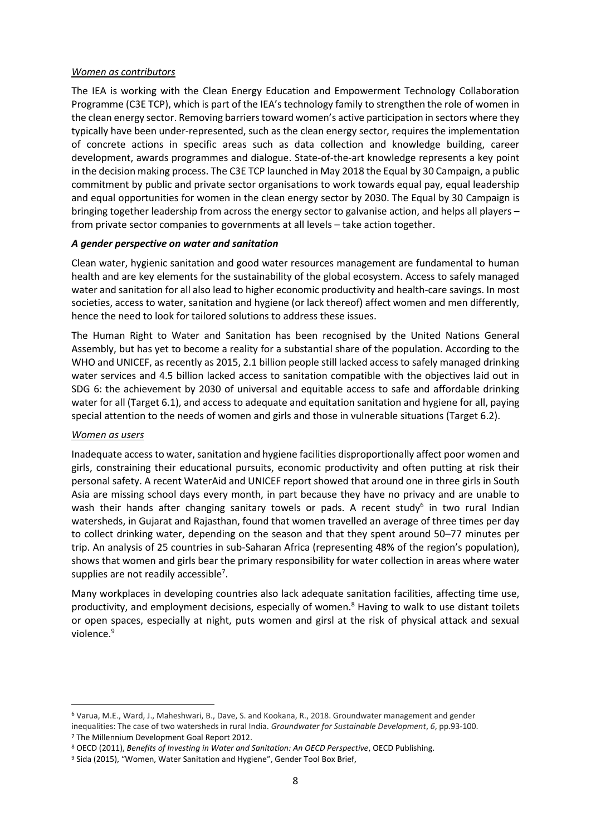The IEA is working with the Clean Energy Education and Empowerment Technology Collaboration Programme (C3E TCP), which is part of the IEA's technology family to strengthen the role of women in the clean energy sector. Removing barriers toward women's active participation in sectors where they typically have been under-represented, such as the clean energy sector, requires the implementation of concrete actions in specific areas such as data collection and knowledge building, career development, awards programmes and dialogue. State-of-the-art knowledge represents a key point in the decision making process. The C3E TCP launched in May 2018 the Equal by 30 Campaign, a public commitment by public and private sector organisations to work towards equal pay, equal leadership and equal opportunities for women in the clean energy sector by 2030. The Equal by 30 Campaign is bringing together leadership from across the energy sector to galvanise action, and helps all players – from private sector companies to governments at all levels – take action together.

#### *A gender perspective on water and sanitation*

Clean water, hygienic sanitation and good water resources management are fundamental to human health and are key elements for the sustainability of the global ecosystem. Access to safely managed water and sanitation for all also lead to higher economic productivity and health-care savings. In most societies, access to water, sanitation and hygiene (or lack thereof) affect women and men differently, hence the need to look for tailored solutions to address these issues.

The Human Right to Water and Sanitation has been recognised by the United Nations General Assembly, but has yet to become a reality for a substantial share of the population. According to the WHO and UNICEF, as recently as 2015, 2.1 billion people still lacked access to safely managed drinking water services and 4.5 billion lacked access to sanitation compatible with the objectives laid out in SDG 6: the achievement by 2030 of universal and equitable access to safe and affordable drinking water for all (Target 6.1), and access to adequate and equitation sanitation and hygiene for all, paying special attention to the needs of women and girls and those in vulnerable situations (Target 6.2).

#### *Women as users*

**.** 

Inadequate access to water, sanitation and hygiene facilities disproportionally affect poor women and girls, constraining their educational pursuits, economic productivity and often putting at risk their personal safety. A recent WaterAid and UNICEF report showed that around one in three girls in South Asia are missing school days every month, in part because they have no privacy and are unable to wash their hands after changing sanitary towels or pads. A recent study<sup>6</sup> in two rural Indian watersheds, in Gujarat and Rajasthan, found that women travelled an average of three times per day to collect drinking water, depending on the season and that they spent around 50–77 minutes per trip. An analysis of 25 countries in sub-Saharan Africa (representing 48% of the region's population), shows that women and girls bear the primary responsibility for water collection in areas where water supplies are not readily accessible<sup>7</sup>.

Many workplaces in developing countries also lack adequate sanitation facilities, affecting time use, productivity, and employment decisions, especially of women. $8$  Having to walk to use distant toilets or open spaces, especially at night, puts women and girsl at the risk of physical attack and sexual violence.<sup>9</sup>

<sup>6</sup> Varua, M.E., Ward, J., Maheshwari, B., Dave, S. and Kookana, R., 2018. Groundwater management and gender inequalities: The case of two watersheds in rural India. *Groundwater for Sustainable Development*, *6*, pp.93-100. <sup>7</sup> The Millennium Development Goal Report 2012.

<sup>8</sup> OECD (2011), *Benefits of Investing in Water and Sanitation: An OECD Perspective*, OECD Publishing.

<sup>&</sup>lt;sup>9</sup> Sida (2015), "Women, Water Sanitation and Hygiene", Gender Tool Box Brief,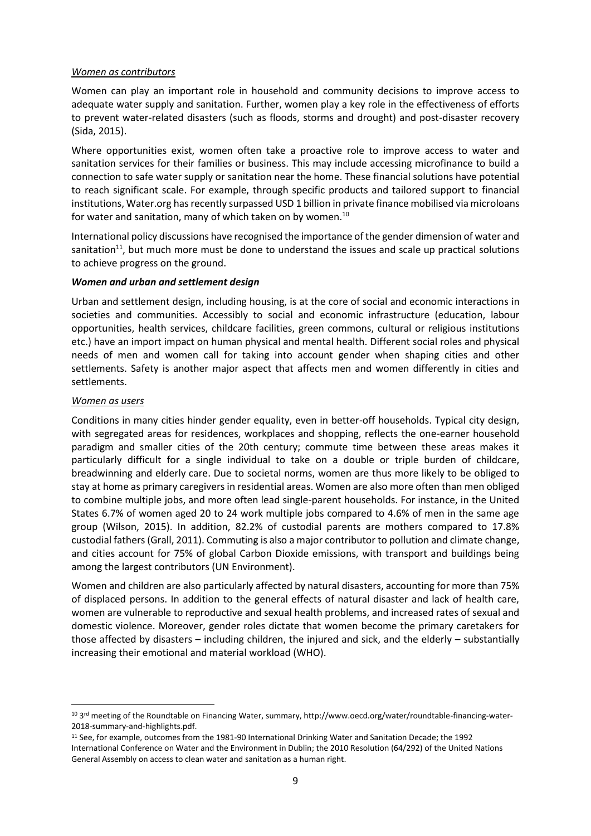Women can play an important role in household and community decisions to improve access to adequate water supply and sanitation. Further, women play a key role in the effectiveness of efforts to prevent water-related disasters (such as floods, storms and drought) and post-disaster recovery (Sida, 2015).

Where opportunities exist, women often take a proactive role to improve access to water and sanitation services for their families or business. This may include accessing microfinance to build a connection to safe water supply or sanitation near the home. These financial solutions have potential to reach significant scale. For example, through specific products and tailored support to financial institutions, Water.org has recently surpassed USD 1 billion in private finance mobilised via microloans for water and sanitation, many of which taken on by women.<sup>10</sup>

International policy discussions have recognised the importance of the gender dimension of water and sanitation<sup>11</sup>, but much more must be done to understand the issues and scale up practical solutions to achieve progress on the ground.

#### *Women and urban and settlement design*

Urban and settlement design, including housing, is at the core of social and economic interactions in societies and communities. Accessibly to social and economic infrastructure (education, labour opportunities, health services, childcare facilities, green commons, cultural or religious institutions etc.) have an import impact on human physical and mental health. Different social roles and physical needs of men and women call for taking into account gender when shaping cities and other settlements. Safety is another major aspect that affects men and women differently in cities and settlements.

#### *Women as users*

**.** 

Conditions in many cities hinder gender equality, even in better-off households. Typical city design, with segregated areas for residences, workplaces and shopping, reflects the one-earner household paradigm and smaller cities of the 20th century; commute time between these areas makes it particularly difficult for a single individual to take on a double or triple burden of childcare, breadwinning and elderly care. Due to societal norms, women are thus more likely to be obliged to stay at home as primary caregivers in residential areas. Women are also more often than men obliged to combine multiple jobs, and more often lead single-parent households. For instance, in the United States 6.7% of women aged 20 to 24 work multiple jobs compared to 4.6% of men in the same age group (Wilson, 2015). In addition, 82.2% of custodial parents are mothers compared to 17.8% custodial fathers (Grall, 2011). Commuting is also a major contributor to pollution and climate change, and cities account for 75% of global Carbon Dioxide emissions, with transport and buildings being among the largest contributors (UN Environment).

Women and children are also particularly affected by natural disasters, accounting for more than 75% of displaced persons. In addition to the general effects of natural disaster and lack of health care, women are vulnerable to reproductive and sexual health problems, and increased rates of sexual and domestic violence. Moreover, gender roles dictate that women become the primary caretakers for those affected by disasters – including children, the injured and sick, and the elderly – substantially increasing their emotional and material workload (WHO).

<sup>&</sup>lt;sup>10</sup> 3<sup>rd</sup> meeting of the Roundtable on Financing Water, summary, http://www.oecd.org/water/roundtable-financing-water-2018-summary-and-highlights.pdf.

<sup>11</sup> See, for example, outcomes from the 1981-90 International Drinking Water and Sanitation Decade; the 1992 International Conference on Water and the Environment in Dublin; the 2010 Resolution (64/292) of the United Nations General Assembly on access to clean water and sanitation as a human right.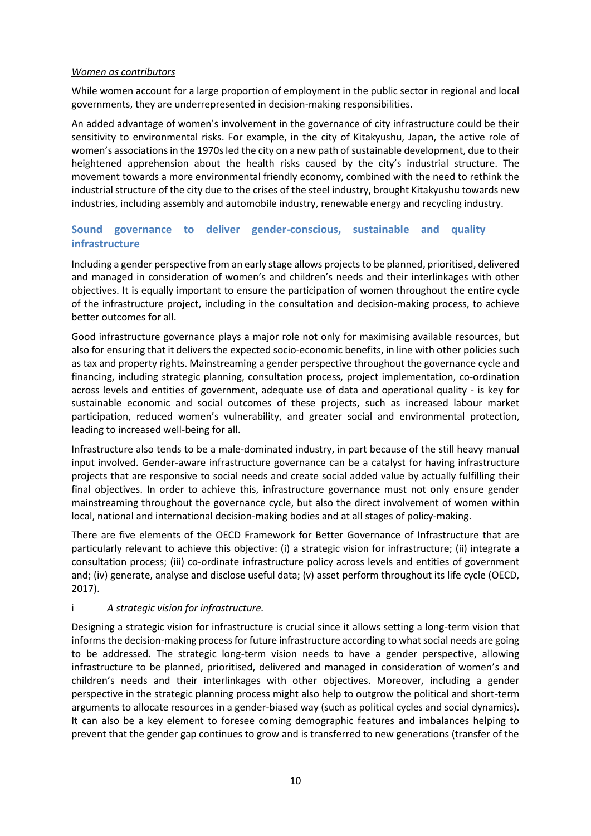While women account for a large proportion of employment in the public sector in regional and local governments, they are underrepresented in decision-making responsibilities.

An added advantage of women's involvement in the governance of city infrastructure could be their sensitivity to environmental risks. For example, in the city of Kitakyushu, Japan, the active role of women's associations in the 1970s led the city on a new path of sustainable development, due to their heightened apprehension about the health risks caused by the city's industrial structure. The movement towards a more environmental friendly economy, combined with the need to rethink the industrial structure of the city due to the crises of the steel industry, brought Kitakyushu towards new industries, including assembly and automobile industry, renewable energy and recycling industry.

# **Sound governance to deliver gender-conscious, sustainable and quality infrastructure**

Including a gender perspective from an early stage allows projects to be planned, prioritised, delivered and managed in consideration of women's and children's needs and their interlinkages with other objectives. It is equally important to ensure the participation of women throughout the entire cycle of the infrastructure project, including in the consultation and decision-making process, to achieve better outcomes for all.

Good infrastructure governance plays a major role not only for maximising available resources, but also for ensuring that it delivers the expected socio-economic benefits, in line with other policies such as tax and property rights. Mainstreaming a gender perspective throughout the governance cycle and financing, including strategic planning, consultation process, project implementation, co-ordination across levels and entities of government, adequate use of data and operational quality - is key for sustainable economic and social outcomes of these projects, such as increased labour market participation, reduced women's vulnerability, and greater social and environmental protection, leading to increased well-being for all.

Infrastructure also tends to be a male-dominated industry, in part because of the still heavy manual input involved. Gender-aware infrastructure governance can be a catalyst for having infrastructure projects that are responsive to social needs and create social added value by actually fulfilling their final objectives. In order to achieve this, infrastructure governance must not only ensure gender mainstreaming throughout the governance cycle, but also the direct involvement of women within local, national and international decision-making bodies and at all stages of policy-making.

There are five elements of the OECD Framework for Better Governance of Infrastructure that are particularly relevant to achieve this objective: (i) a strategic vision for infrastructure; (ii) integrate a consultation process; (iii) co-ordinate infrastructure policy across levels and entities of government and; (iv) generate, analyse and disclose useful data; (v) asset perform throughout its life cycle (OECD, 2017).

## i *A strategic vision for infrastructure.*

Designing a strategic vision for infrastructure is crucial since it allows setting a long-term vision that informs the decision-making process for future infrastructure according to what social needs are going to be addressed. The strategic long-term vision needs to have a gender perspective, allowing infrastructure to be planned, prioritised, delivered and managed in consideration of women's and children's needs and their interlinkages with other objectives. Moreover, including a gender perspective in the strategic planning process might also help to outgrow the political and short-term arguments to allocate resources in a gender-biased way (such as political cycles and social dynamics). It can also be a key element to foresee coming demographic features and imbalances helping to prevent that the gender gap continues to grow and is transferred to new generations (transfer of the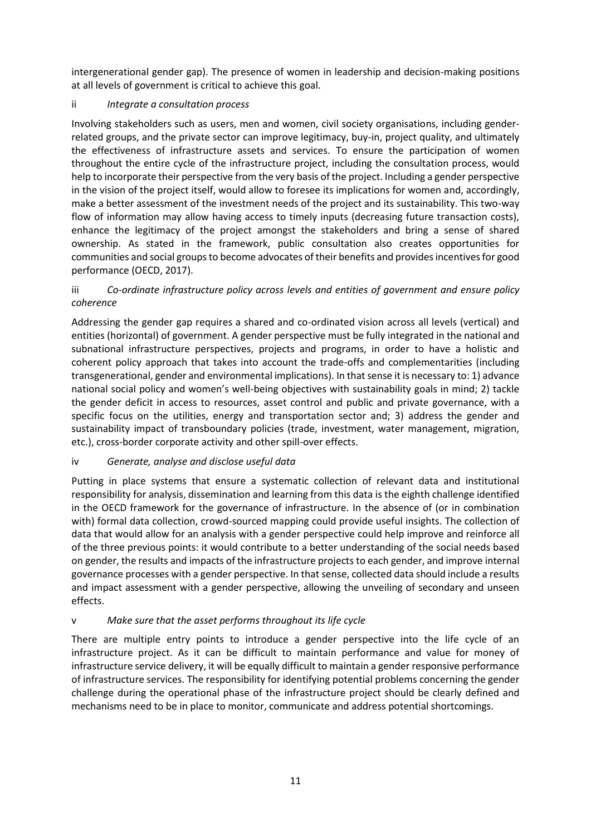intergenerational gender gap). The presence of women in leadership and decision-making positions at all levels of government is critical to achieve this goal.

## ii *Integrate a consultation process*

Involving stakeholders such as users, men and women, civil society organisations, including genderrelated groups, and the private sector can improve legitimacy, buy-in, project quality, and ultimately the effectiveness of infrastructure assets and services. To ensure the participation of women throughout the entire cycle of the infrastructure project, including the consultation process, would help to incorporate their perspective from the very basis of the project. Including a gender perspective in the vision of the project itself, would allow to foresee its implications for women and, accordingly, make a better assessment of the investment needs of the project and its sustainability. This two-way flow of information may allow having access to timely inputs (decreasing future transaction costs), enhance the legitimacy of the project amongst the stakeholders and bring a sense of shared ownership. As stated in the framework, public consultation also creates opportunities for communities and social groups to become advocates of their benefits and provides incentives for good performance (OECD, 2017).

## iii *Co-ordinate infrastructure policy across levels and entities of government and ensure policy coherence*

Addressing the gender gap requires a shared and co-ordinated vision across all levels (vertical) and entities (horizontal) of government. A gender perspective must be fully integrated in the national and subnational infrastructure perspectives, projects and programs, in order to have a holistic and coherent policy approach that takes into account the trade-offs and complementarities (including transgenerational, gender and environmental implications). In that sense it is necessary to: 1) advance national social policy and women's well-being objectives with sustainability goals in mind; 2) tackle the gender deficit in access to resources, asset control and public and private governance, with a specific focus on the utilities, energy and transportation sector and; 3) address the gender and sustainability impact of transboundary policies (trade, investment, water management, migration, etc.), cross-border corporate activity and other spill-over effects.

## iv *Generate, analyse and disclose useful data*

Putting in place systems that ensure a systematic collection of relevant data and institutional responsibility for analysis, dissemination and learning from this data is the eighth challenge identified in the OECD framework for the governance of infrastructure. In the absence of (or in combination with) formal data collection, crowd-sourced mapping could provide useful insights. The collection of data that would allow for an analysis with a gender perspective could help improve and reinforce all of the three previous points: it would contribute to a better understanding of the social needs based on gender, the results and impacts of the infrastructure projects to each gender, and improve internal governance processes with a gender perspective. In that sense, collected data should include a results and impact assessment with a gender perspective, allowing the unveiling of secondary and unseen effects.

## v *Make sure that the asset performs throughout its life cycle*

There are multiple entry points to introduce a gender perspective into the life cycle of an infrastructure project. As it can be difficult to maintain performance and value for money of infrastructure service delivery, it will be equally difficult to maintain a gender responsive performance of infrastructure services. The responsibility for identifying potential problems concerning the gender challenge during the operational phase of the infrastructure project should be clearly defined and mechanisms need to be in place to monitor, communicate and address potential shortcomings.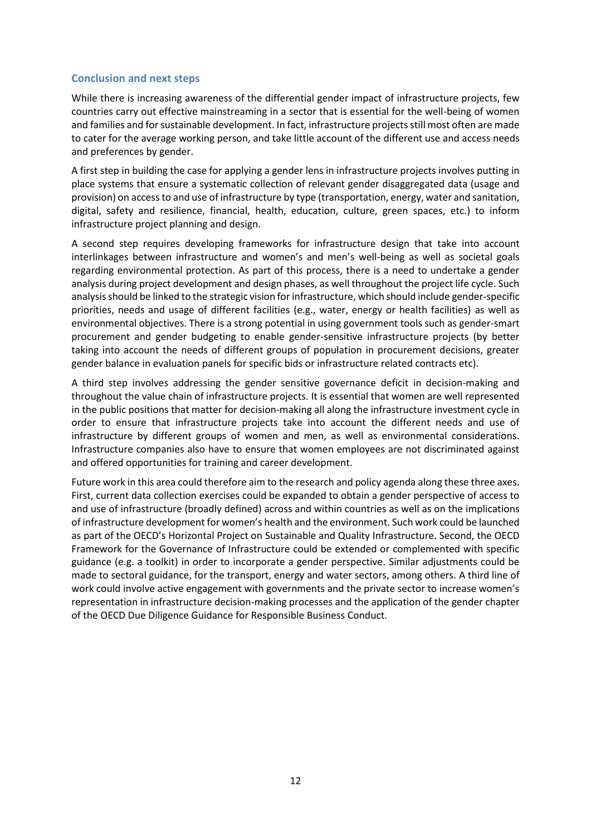## **Conclusion and next steps**

While there is increasing awareness of the differential gender impact of infrastructure projects, few countries carry out effective mainstreaming in a sector that is essential for the well-being of women and families and for sustainable development. In fact, infrastructure projects still most often are made to cater for the average working person, and take little account of the different use and access needs and preferences by gender.

A first step in building the case for applying a gender lens in infrastructure projects involves putting in place systems that ensure a systematic collection of relevant gender disaggregated data (usage and provision) on access to and use of infrastructure by type (transportation, energy, water and sanitation, digital, safety and resilience, financial, health, education, culture, green spaces, etc.) to inform infrastructure project planning and design.

A second step requires developing frameworks for infrastructure design that take into account interlinkages between infrastructure and women's and men's well-being as well as societal goals regarding environmental protection. As part of this process, there is a need to undertake a gender analysis during project development and design phases, as well throughout the project life cycle. Such analysis should be linked to the strategic vision for infrastructure, which should include gender-specific priorities, needs and usage of different facilities (e.g., water, energy or health facilities) as well as environmental objectives. There is a strong potential in using government tools such as gender-smart procurement and gender budgeting to enable gender-sensitive infrastructure projects (by better taking into account the needs of different groups of population in procurement decisions, greater gender balance in evaluation panels for specific bids or infrastructure related contracts etc).

A third step involves addressing the gender sensitive governance deficit in decision-making and throughout the value chain of infrastructure projects. It is essential that women are well represented in the public positions that matter for decision-making all along the infrastructure investment cycle in order to ensure that infrastructure projects take into account the different needs and use of infrastructure by different groups of women and men, as well as environmental considerations. Infrastructure companies also have to ensure that women employees are not discriminated against and offered opportunities for training and career development.

Future work in this area could therefore aim to the research and policy agenda along these three axes. First, current data collection exercises could be expanded to obtain a gender perspective of access to and use of infrastructure (broadly defined) across and within countries as well as on the implications of infrastructure development for women's health and the environment. Such work could be launched as part of the OECD's Horizontal Project on Sustainable and Quality Infrastructure. Second, the OECD Framework for the Governance of Infrastructure could be extended or complemented with specific guidance (e.g. a toolkit) in order to incorporate a gender perspective. Similar adjustments could be made to sectoral guidance, for the transport, energy and water sectors, among others. A third line of work could involve active engagement with governments and the private sector to increase women's representation in infrastructure decision-making processes and the application of the gender chapter of the OECD Due Diligence Guidance for Responsible Business Conduct.